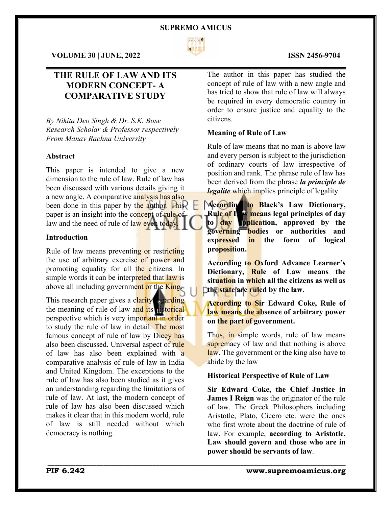

 $\mathcal{L}_\mathcal{L} = \mathcal{L}_\mathcal{L} = \mathcal{L}_\mathcal{L} = \mathcal{L}_\mathcal{L} = \mathcal{L}_\mathcal{L} = \mathcal{L}_\mathcal{L} = \mathcal{L}_\mathcal{L} = \mathcal{L}_\mathcal{L} = \mathcal{L}_\mathcal{L} = \mathcal{L}_\mathcal{L} = \mathcal{L}_\mathcal{L} = \mathcal{L}_\mathcal{L} = \mathcal{L}_\mathcal{L} = \mathcal{L}_\mathcal{L} = \mathcal{L}_\mathcal{L} = \mathcal{L}_\mathcal{L} = \mathcal{L}_\mathcal{L}$ 

\_\_\_\_\_\_\_\_\_\_\_\_\_\_\_\_\_\_\_\_\_\_\_\_\_\_\_\_\_\_\_\_\_\_\_\_\_\_\_\_\_\_\_\_\_\_\_\_\_\_\_\_\_\_\_\_\_\_\_\_\_\_\_\_\_\_\_\_\_\_\_\_\_\_\_\_\_\_\_\_\_\_\_\_\_

**VOLUME 30 | JUNE, 2022 ISSN 2456-9704**

# **THE RULE OF LAW AND ITS MODERN CONCEPT- A COMPARATIVE STUDY**

*By Nikita Deo Singh & Dr. S.K. Bose Research Scholar & Professor respectively From Manav Rachna University*

## **Abstract**

This paper is intended to give a new dimension to the rule of law. Rule of law has been discussed with various details giving it a new angle. A comparative analysis has also been done in this paper by the author. This paper is an insight into the concept of rule of law and the need of rule of law even today.

# **Introduction**

Rule of law means preventing or restricting the use of arbitrary exercise of power and promoting equality for all the citizens. In simple words it can be interpreted that law is above all including government or the King.

This research paper gives a clarity egarding the meaning of rule of law and its nistorical perspective which is very important in order to study the rule of law in detail. The most famous concept of rule of law by Dicey has also been discussed. Universal aspect of rule of law has also been explained with a comparative analysis of rule of law in India and United Kingdom. The exceptions to the rule of law has also been studied as it gives an understanding regarding the limitations of rule of law. At last, the modern concept of rule of law has also been discussed which makes it clear that in this modern world, rule of law is still needed without which democracy is nothing.

The author in this paper has studied the concept of rule of law with a new angle and has tried to show that rule of law will always be required in every democratic country in order to ensure justice and equality to the citizens.

### **Meaning of Rule of Law**

Rule of law means that no man is above law and every person is subject to the jurisdiction of ordinary courts of law irrespective of position and rank. The phrase rule of law has been derived from the phrase *la principle de legalite* which implies principle of legality.

**According to Black's Law Dictionary, Rule of Law means legal principles of day**  to day **upplication**, approved by the **governing bodies or authorities and expressed in the form of logical proposition.**

**According to Oxford Advance Learner's Dictionary, Rule of Law means the situation in which all the citizens as well as Example 12 The state are ruled by the law.** 

**According to Sir Edward Coke, Rule of law means the absence of arbitrary power on the part of government.**

Thus, in simple words, rule of law means supremacy of law and that nothing is above law. The government or the king also have to abide by the law

## **Historical Perspective of Rule of Law**

**Sir Edward Coke, the Chief Justice in James I Reign** was the originator of the rule of law. The Greek Philosophers including Aristotle, Plato, Cicero etc. were the ones who first wrote about the doctrine of rule of law. For example, **according to Aristotle, Law should govern and those who are in power should be servants of law**.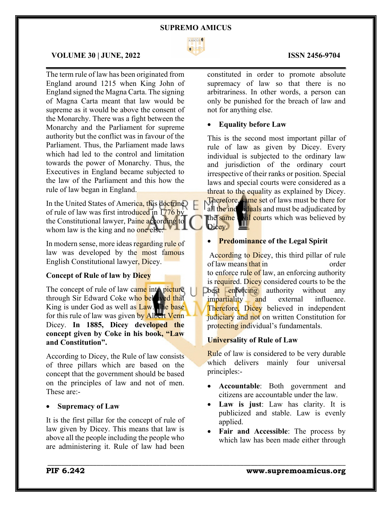

 $\mathcal{L}_\mathcal{L} = \mathcal{L}_\mathcal{L} = \mathcal{L}_\mathcal{L} = \mathcal{L}_\mathcal{L} = \mathcal{L}_\mathcal{L} = \mathcal{L}_\mathcal{L} = \mathcal{L}_\mathcal{L} = \mathcal{L}_\mathcal{L} = \mathcal{L}_\mathcal{L} = \mathcal{L}_\mathcal{L} = \mathcal{L}_\mathcal{L} = \mathcal{L}_\mathcal{L} = \mathcal{L}_\mathcal{L} = \mathcal{L}_\mathcal{L} = \mathcal{L}_\mathcal{L} = \mathcal{L}_\mathcal{L} = \mathcal{L}_\mathcal{L}$ 

# **VOLUME 30 | JUNE, 2022 ISSN 2456-9704**

The term rule of law has been originated from England around 1215 when King John of England signed the Magna Carta. The signing of Magna Carta meant that law would be supreme as it would be above the consent of the Monarchy. There was a fight between the Monarchy and the Parliament for supreme authority but the conflict was in favour of the Parliament. Thus, the Parliament made laws which had led to the control and limitation towards the power of Monarchy. Thus, the Executives in England became subjected to the law of the Parliament and this how the rule of law began in England.

In the United States of America, this doctrine of rule of law was first introduced in 1776 by the Constitutional lawyer, Paine according to whom law is the king and no one else.

In modern sense, more ideas regarding rule of law was developed by the most famous English Constitutional lawyer, Dicey.

# **Concept of Rule of law by Dicey**

The concept of rule of law came into picture through Sir Edward Coke who beloved that King is under God as well as Law. The base for this rule of law was given by Albert Venn Dicey. **In 1885, Dicey developed the concept given by Coke in his book, "Law and Constitution".**

According to Dicey, the Rule of law consists of three pillars which are based on the concept that the government should be based on the principles of law and not of men. These are:-

# • **Supremacy of Law**

It is the first pillar for the concept of rule of law given by Dicey. This means that law is above all the people including the people who are administering it. Rule of law had been

constituted in order to promote absolute supremacy of law so that there is no arbitrariness. In other words, a person can only be punished for the breach of law and not for anything else.

#### • **Equality before Law**

This is the second most important pillar of rule of law as given by Dicey. Every individual is subjected to the ordinary law and jurisdiction of the ordinary court irrespective of their ranks or position. Special laws and special courts were considered as a threat to the equality as explained by Dicey. Therefore, same set of laws must be there for

all the individuals and must be adjudicated by the same will courts which was believed by Dicey.

#### • **Predominance of the Legal Spirit**

According to Dicey, this third pillar of rule of law means that in order to enforce rule of law, an enforcing authority is required. Dicey considered courts to be the Doest enforcing authority without any impartiality and external influence. Therefore, Dicey believed in independent judiciary and not on written Constitution for protecting individual's fundamentals.

#### **Universality of Rule of Law**

Rule of law is considered to be very durable which delivers mainly four universal principles:-

- **Accountable**: Both government and citizens are accountable under the law.
- **Law is just**: Law has clarity. It is publicized and stable. Law is evenly applied.
- Fair and Accessible: The process by which law has been made either through

#### **PIF 6.242 www.supremoamicus.org**

# \_\_\_\_\_\_\_\_\_\_\_\_\_\_\_\_\_\_\_\_\_\_\_\_\_\_\_\_\_\_\_\_\_\_\_\_\_\_\_\_\_\_\_\_\_\_\_\_\_\_\_\_\_\_\_\_\_\_\_\_\_\_\_\_\_\_\_\_\_\_\_\_\_\_\_\_\_\_\_\_\_\_\_\_\_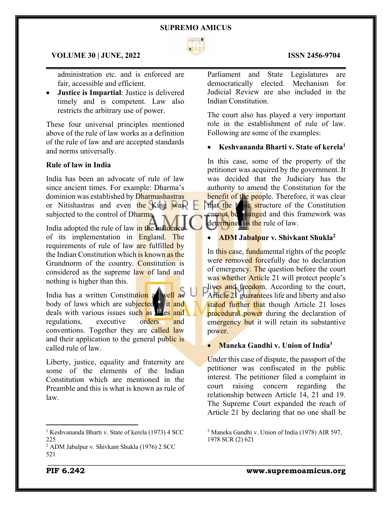

 $\mathcal{L}_\mathcal{L} = \mathcal{L}_\mathcal{L} = \mathcal{L}_\mathcal{L} = \mathcal{L}_\mathcal{L} = \mathcal{L}_\mathcal{L} = \mathcal{L}_\mathcal{L} = \mathcal{L}_\mathcal{L} = \mathcal{L}_\mathcal{L} = \mathcal{L}_\mathcal{L} = \mathcal{L}_\mathcal{L} = \mathcal{L}_\mathcal{L} = \mathcal{L}_\mathcal{L} = \mathcal{L}_\mathcal{L} = \mathcal{L}_\mathcal{L} = \mathcal{L}_\mathcal{L} = \mathcal{L}_\mathcal{L} = \mathcal{L}_\mathcal{L}$ 

\_\_\_\_\_\_\_\_\_\_\_\_\_\_\_\_\_\_\_\_\_\_\_\_\_\_\_\_\_\_\_\_\_\_\_\_\_\_\_\_\_\_\_\_\_\_\_\_\_\_\_\_\_\_\_\_\_\_\_\_\_\_\_\_\_\_\_\_\_\_\_\_\_\_\_\_\_\_\_\_\_\_\_\_\_

## **VOLUME 30 | JUNE, 2022 ISSN 2456-9704**

administration etc. and is enforced are fair, accessible and efficient.

• **Justice is Impartial**: Justice is delivered timely and is competent. Law also restricts the arbitrary use of power.

These four universal principles mentioned above of the rule of law works as a definition of the rule of law and are accepted standards and norms universally.

# **Rule of law in India**

India has been an advocate of rule of law since ancient times. For example: Dharma's dominion was established by Dharmashastras or Nitishastras and even the King was subjected to the control of Dharma.

India adopted the rule of law in the influen of its implementation in England. The requirements of rule of law are fulfilled by the Indian Constitution which is known as the Grundnorm of the country. Constitution is considered as the supreme law of land and nothing is higher than this.

India has a written Constitution as well as body of laws which are subjected to it and deals with various issues such as  $\frac{1}{4}$  as  $\frac{1}{4}$  and regulations, executive orders and conventions. Together they are called law and their application to the general public is called rule of law.

Liberty, justice, equality and fraternity are some of the elements of the Indian Constitution which are mentioned in the Preamble and this is what is known as rule of law.

# Parliament and State Legislatures are democratically elected. Mechanism for Judicial Review are also included in the Indian Constitution.

The court also has played a very important role in the establishment of rule of law. Following are some of the examples:

## • **Keshvananda Bharti v. State of kerela1**

In this case, some of the property of the petitioner was acquired by the government. It was decided that the Judiciary has the authority to amend the Constitution for the benefit of the people. Therefore, it was clear that the b<sub>asic</sub> structure of the Constitution cannot be changed and this framework was determined as the rule of law.

# • **ADM Jabalpur v. Shivkant Shukla2**

In this case, fundamental rights of the people were removed forcefully due to declaration of emergency. The question before the court was whether Article 21 will protect people's lives and freedom. According to the court, Article 21 guarantees life and liberty and also stated further that though Article 21 loses procedural power during the declaration of emergency but it will retain its substantive power.

# • **Maneka Gandhi v. Union of India3**

Under this case of dispute, the passport of the petitioner was confiscated in the public interest. The petitioner filed a complaint in court raising concern regarding the relationship between Article 14, 21 and 19. The Supreme Court expanded the reach of Article 21 by declaring that no one shall be

## **PIF 6.242 www.supremoamicus.org**

<sup>&</sup>lt;sup>1</sup> Keshvananda Bharti v. State of kerela (1973) 4 SCC 225

<sup>2</sup> ADM Jabalpur v. Shivkant Shukla (1976) 2 SCC 521

<sup>3</sup> Maneka Gandhi v. Union of India (1978) AIR 597, 1978 SCR (2) 621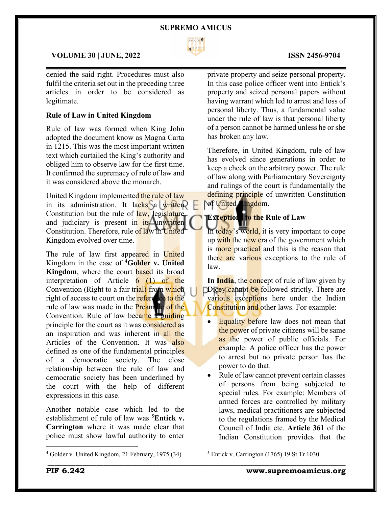

 $\mathcal{L}_\mathcal{L} = \mathcal{L}_\mathcal{L} = \mathcal{L}_\mathcal{L} = \mathcal{L}_\mathcal{L} = \mathcal{L}_\mathcal{L} = \mathcal{L}_\mathcal{L} = \mathcal{L}_\mathcal{L} = \mathcal{L}_\mathcal{L} = \mathcal{L}_\mathcal{L} = \mathcal{L}_\mathcal{L} = \mathcal{L}_\mathcal{L} = \mathcal{L}_\mathcal{L} = \mathcal{L}_\mathcal{L} = \mathcal{L}_\mathcal{L} = \mathcal{L}_\mathcal{L} = \mathcal{L}_\mathcal{L} = \mathcal{L}_\mathcal{L}$ 

# **VOLUME 30 | JUNE, 2022 ISSN 2456-9704**

denied the said right. Procedures must also fulfil the criteria set out in the preceding three articles in order to be considered as legitimate.

# **Rule of Law in United Kingdom**

Rule of law was formed when King John adopted the document know as Magna Carta in 1215. This was the most important written text which curtailed the King's authority and obliged him to observe law for the first time. It confirmed the supremacy of rule of law and it was considered above the monarch.

United Kingdom implemented the rule of law in its administration. It lacks a written Constitution but the rule of law, legislature and judiciary is present in  $its$  unwritten Constitution. Therefore, rule of law in United Kingdom evolved over time.

The rule of law first appeared in United Kingdom in the case of 4 **Golder v. United Kingdom**, where the court **based** its broad interpretation of Article 6 (1) of the Convention (Right to a fair trial) from which right of access to court on the reference to the rule of law was made in the **Preamble of the** Convention. Rule of law became a guiding principle for the court as it was considered as an inspiration and was inherent in all the Articles of the Convention. It was also defined as one of the fundamental principles of a democratic society. The close relationship between the rule of law and democratic society has been underlined by the court with the help of different expressions in this case.

Another notable case which led to the establishment of rule of law was <sup>5</sup>Entick v. **Carrington** where it was made clear that police must show lawful authority to enter

private property and seize personal property. In this case police officer went into Entick's property and seized personal papers without having warrant which led to arrest and loss of personal liberty. Thus, a fundamental value under the rule of law is that personal liberty of a person cannot be harmed unless he or she has broken any law.

Therefore, in United Kingdom, rule of law has evolved since generations in order to keep a check on the arbitrary power. The rule of law along with Parliamentary Sovereignty and rulings of the court is fundamentally the defining principle of unwritten Constitution of United Lingdom.

# **Exception** to the Rule of Law

In today's world, it is very important to cope up with the new era of the government which is more practical and this is the reason that there are various exceptions to the rule of law.

In **India**, the concept of rule of law given by Dicey cannot be followed strictly. There are various exceptions here under the Indian Constitution and other laws. For example:

- Equality before law does not mean that the power of private citizens will be same as the power of public officials. For example: A police officer has the power to arrest but no private person has the power to do that.
- Rule of law cannot prevent certain classes of persons from being subjected to special rules. For example: Members of armed forces are controlled by military laws, medical practitioners are subjected to the regulations framed by the Medical Council of India etc. **Article 361** of the Indian Constitution provides that the

<sup>5</sup> Entick v. Carrington (1765) 19 St Tr 1030

\_\_\_\_\_\_\_\_\_\_\_\_\_\_\_\_\_\_\_\_\_\_\_\_\_\_\_\_\_\_\_\_\_\_\_\_\_\_\_\_\_\_\_\_\_\_\_\_\_\_\_\_\_\_\_\_\_\_\_\_\_\_\_\_\_\_\_\_\_\_\_\_\_\_\_\_\_\_\_\_\_\_\_\_\_

**PIF 6.242 www.supremoamicus.org**

<sup>4</sup> Golder v. United Kingdom, 21 February, 1975 (34)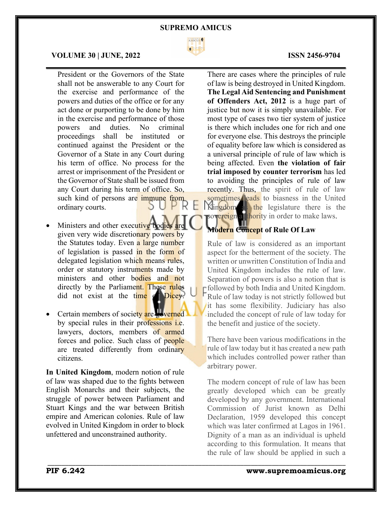

 $\mathcal{L}_\mathcal{L} = \mathcal{L}_\mathcal{L} = \mathcal{L}_\mathcal{L} = \mathcal{L}_\mathcal{L} = \mathcal{L}_\mathcal{L} = \mathcal{L}_\mathcal{L} = \mathcal{L}_\mathcal{L} = \mathcal{L}_\mathcal{L} = \mathcal{L}_\mathcal{L} = \mathcal{L}_\mathcal{L} = \mathcal{L}_\mathcal{L} = \mathcal{L}_\mathcal{L} = \mathcal{L}_\mathcal{L} = \mathcal{L}_\mathcal{L} = \mathcal{L}_\mathcal{L} = \mathcal{L}_\mathcal{L} = \mathcal{L}_\mathcal{L}$ 

\_\_\_\_\_\_\_\_\_\_\_\_\_\_\_\_\_\_\_\_\_\_\_\_\_\_\_\_\_\_\_\_\_\_\_\_\_\_\_\_\_\_\_\_\_\_\_\_\_\_\_\_\_\_\_\_\_\_\_\_\_\_\_\_\_\_\_\_\_\_\_\_\_\_\_\_\_\_\_\_\_\_\_\_\_

# **VOLUME 30 | JUNE, 2022 ISSN 2456-9704**

President or the Governors of the State shall not be answerable to any Court for the exercise and performance of the powers and duties of the office or for any act done or purporting to be done by him in the exercise and performance of those powers and duties. No criminal proceedings shall be instituted or continued against the President or the Governor of a State in any Court during his term of office. No process for the arrest or imprisonment of the President or the Governor of State shall be issued from any Court during his term of office. So, such kind of persons are immune from<br>ordinary courts. ordinary courts.

- Ministers and other executive bodies given very wide discretionary powers by the Statutes today. Even a large number of legislation is passed in the form of delegated legislation which means rules, order or statutory instruments made by ministers and other bodies and not directly by the Parliament. These rules did not exist at the time of Dicey.
- Certain members of society are governed by special rules in their professions *i.e.* lawyers, doctors, members of armed forces and police. Such class of people are treated differently from ordinary citizens.

**In United Kingdom**, modern notion of rule of law was shaped due to the fights between English Monarchs and their subjects, the struggle of power between Parliament and Stuart Kings and the war between British empire and American colonies. Rule of law evolved in United Kingdom in order to block unfettered and unconstrained authority.

There are cases where the principles of rule of law is being destroyed in United Kingdom. **The Legal Aid Sentencing and Punishment of Offenders Act, 2012** is a huge part of justice but now it is simply unavailable. For most type of cases two tier system of justice is there which includes one for rich and one for everyone else. This destroys the principle of equality before law which is considered as a universal principle of rule of law which is being affected. Even **the violation of fair trial imposed by counter terrorism** has led to avoiding the principles of rule of law recently. Thus, the spirit of rule of law sometimes leads to biasness in the United Kingdom as the legislature there is the sovereign at thority in order to make laws.

# **Modern Concept of Rule Of Law**

Rule of law is considered as an important aspect for the betterment of the society. The written or unwritten Constitution of India and United Kingdom includes the rule of law. Separation of powers is also a notion that is Followed by both India and United Kingdom. Rule of law today is not strictly followed but it has some flexibility. Judiciary has also included the concept of rule of law today for the benefit and justice of the society.

There have been various modifications in the rule of law today but it has created a new path which includes controlled power rather than arbitrary power.

The modern concept of rule of law has been greatly developed which can be greatly developed by any government. International Commission of Jurist known as Delhi Declaration, 1959 developed this concept which was later confirmed at Lagos in 1961. Dignity of a man as an individual is upheld according to this formulation. It means that the rule of law should be applied in such a

## **PIF 6.242 www.supremoamicus.org**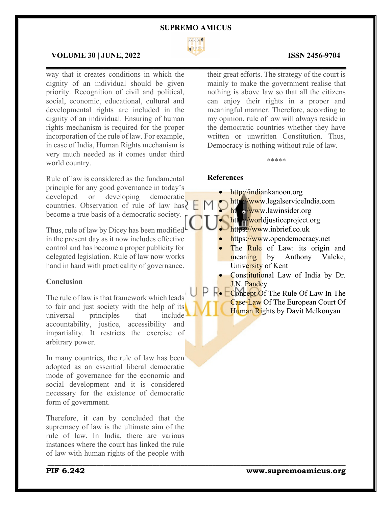

\_\_\_\_\_\_\_\_\_\_\_\_\_\_\_\_\_\_\_\_\_\_\_\_\_\_\_\_\_\_\_\_\_\_\_\_\_\_\_\_\_\_\_\_\_\_\_\_\_\_\_\_\_\_\_\_\_\_\_\_\_\_\_\_\_\_\_\_\_\_\_\_\_\_\_\_\_\_\_\_\_\_\_\_\_

# **VOLUME 30 | JUNE, 2022 ISSN 2456-9704**

way that it creates conditions in which the dignity of an individual should be given priority. Recognition of civil and political, social, economic, educational, cultural and developmental rights are included in the dignity of an individual. Ensuring of human rights mechanism is required for the proper incorporation of the rule of law. For example, in case of India, Human Rights mechanism is very much needed as it comes under third world country.

Rule of law is considered as the fundamental principle for any good governance in today's developed or developing democratic countries. Observation of rule of law has  $\left\{\left\|\right\|$ become a true basis of a democratic society.

Thus, rule of law by Dicey has been modified in the present day as it now includes effective control and has become a proper publicity for delegated legislation. Rule of law now works hand in hand with practicality of governance.

# **Conclusion**

The rule of law is that framework which leads to fair and just society with the help of its universal principles that include accountability, justice, accessibility and impartiality. It restricts the exercise of arbitrary power.

In many countries, the rule of law has been adopted as an essential liberal democratic mode of governance for the economic and social development and it is considered necessary for the existence of democratic form of government.

Therefore, it can by concluded that the supremacy of law is the ultimate aim of the rule of law. In India, there are various instances where the court has linked the rule of law with human rights of the people with

their great efforts. The strategy of the court is mainly to make the government realise that nothing is above law so that all the citizens can enjoy their rights in a proper and meaningful manner. Therefore, according to my opinion, rule of law will always reside in the democratic countries whether they have written or unwritten Constitution. Thus, Democracy is nothing without rule of law.

\*\*\*\*\*

#### **References**

- http://indiankanoon.org
- http://www.legalserviceIndia.com
- http://www.lawinsider.org
	- http://worldjusticeproject.org
	- https://www.inbrief.co.uk
- https://www.opendemocracy.net
- The Rule of Law: its origin and meaning by Anthony Valcke, University of Kent
- Constitutional Law of India by Dr. J.N. Pandey
- **R** Concept Of The Rule Of Law In The Case-Law Of The European Court Of Human Rights by Davit Melkonyan

 $\mathcal{L}_\mathcal{L} = \mathcal{L}_\mathcal{L} = \mathcal{L}_\mathcal{L} = \mathcal{L}_\mathcal{L} = \mathcal{L}_\mathcal{L} = \mathcal{L}_\mathcal{L} = \mathcal{L}_\mathcal{L} = \mathcal{L}_\mathcal{L} = \mathcal{L}_\mathcal{L} = \mathcal{L}_\mathcal{L} = \mathcal{L}_\mathcal{L} = \mathcal{L}_\mathcal{L} = \mathcal{L}_\mathcal{L} = \mathcal{L}_\mathcal{L} = \mathcal{L}_\mathcal{L} = \mathcal{L}_\mathcal{L} = \mathcal{L}_\mathcal{L}$